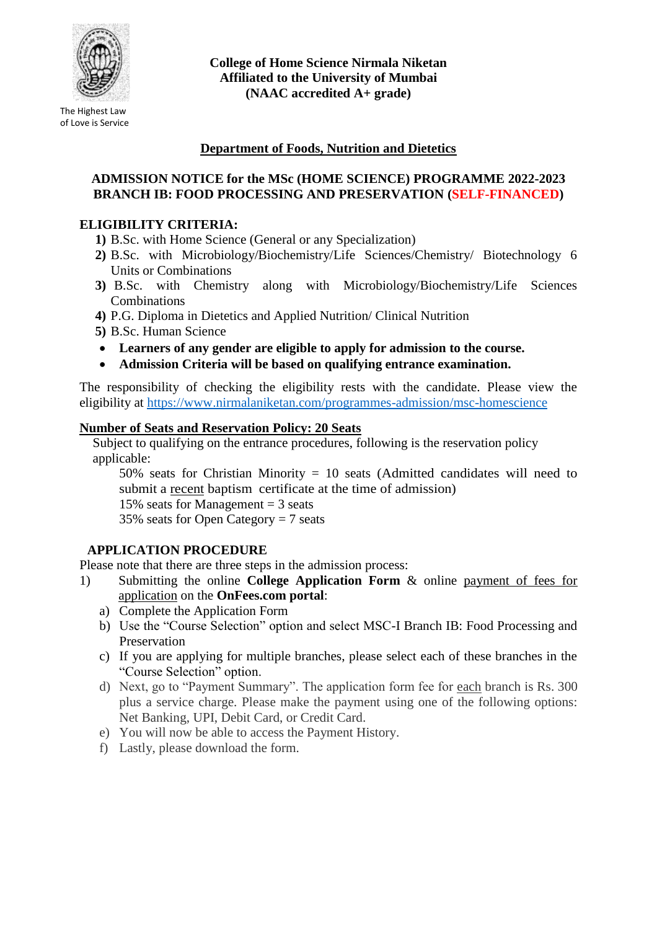

The Highest Law of Love is Service **College of Home Science Nirmala Niketan Affiliated to the University of Mumbai (NAAC accredited A+ grade)**

# **Department of Foods, Nutrition and Dietetics**

#### **ADMISSION NOTICE for the MSc (HOME SCIENCE) PROGRAMME 2022-2023 BRANCH IB: FOOD PROCESSING AND PRESERVATION (SELF-FINANCED)**

## **ELIGIBILITY CRITERIA:**

- **1)** B.Sc. with Home Science (General or any Specialization)
- **2)** B.Sc. with Microbiology/Biochemistry/Life Sciences/Chemistry/ Biotechnology 6 Units or Combinations
- **3)** B.Sc. with Chemistry along with Microbiology/Biochemistry/Life Sciences Combinations
- **4)** P.G. Diploma in Dietetics and Applied Nutrition/ Clinical Nutrition
- **5)** B.Sc. Human Science
- **Learners of any gender are eligible to apply for admission to the course.**
- **Admission Criteria will be based on qualifying entrance examination.**

The responsibility of checking the eligibility rests with the candidate. Please view the eligibility at<https://www.nirmalaniketan.com/programmes-admission/msc-homescience>

#### **Number of Seats and Reservation Policy: 20 Seats**

Subject to qualifying on the entrance procedures, following is the reservation policy applicable:

50% seats for Christian Minority  $= 10$  seats (Admitted candidates will need to submit a recent baptism certificate at the time of admission)

15% seats for Management  $=$  3 seats

35% seats for Open Category = 7 seats

## **APPLICATION PROCEDURE**

Please note that there are three steps in the admission process:

- 1) Submitting the online **College Application Form** & online payment of fees for application on the **OnFees.com portal**:
	- a) Complete the Application Form
	- b) Use the "Course Selection" option and select MSC-I Branch IB: Food Processing and Preservation
	- c) If you are applying for multiple branches, please select each of these branches in the "Course Selection" option.
	- d) Next, go to "Payment Summary". The application form fee for each branch is Rs. 300 plus a service charge. Please make the payment using one of the following options: Net Banking, UPI, Debit Card, or Credit Card.
	- e) You will now be able to access the Payment History.
	- f) Lastly, please download the form.